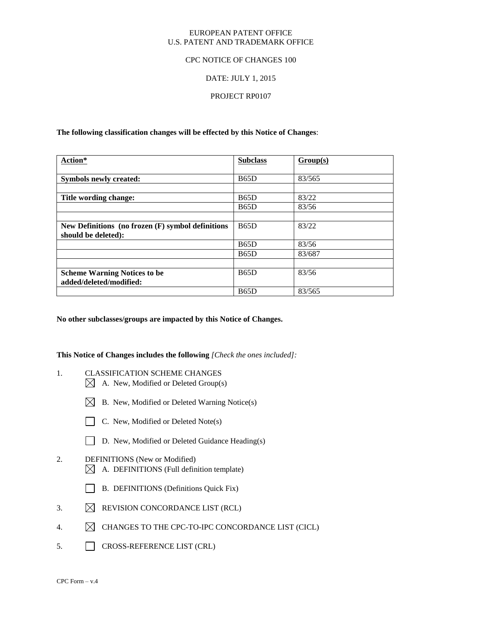#### EUROPEAN PATENT OFFICE U.S. PATENT AND TRADEMARK OFFICE

#### CPC NOTICE OF CHANGES 100

#### DATE: JULY 1, 2015

#### PROJECT RP0107

**The following classification changes will be effected by this Notice of Changes**:

| Action*                                           | <b>Subclass</b> | Group(s) |
|---------------------------------------------------|-----------------|----------|
|                                                   |                 |          |
| <b>Symbols newly created:</b>                     | B65D            | 83/565   |
|                                                   |                 |          |
| Title wording change:                             | B65D            | 83/22    |
|                                                   | B65D            | 83/56    |
|                                                   |                 |          |
| New Definitions (no frozen (F) symbol definitions | <b>B65D</b>     | 83/22    |
| should be deleted):                               |                 |          |
|                                                   | B65D            | 83/56    |
|                                                   | <b>B65D</b>     | 83/687   |
|                                                   |                 |          |
| <b>Scheme Warning Notices to be</b>               | <b>B65D</b>     | 83/56    |
| added/deleted/modified:                           |                 |          |
|                                                   | <b>B65D</b>     | 83/565   |

**No other subclasses/groups are impacted by this Notice of Changes.**

**This Notice of Changes includes the following** *[Check the ones included]:*

- 1. CLASSIFICATION SCHEME CHANGES
	- $\boxtimes$  A. New, Modified or Deleted Group(s)
	- $\boxtimes$  B. New, Modified or Deleted Warning Notice(s)
	- $\Box$  C. New, Modified or Deleted Note(s)
	- D. New, Modified or Deleted Guidance Heading(s)

#### 2. DEFINITIONS (New or Modified)  $\boxtimes$  A. DEFINITIONS (Full definition template)

- B. DEFINITIONS (Definitions Quick Fix)
- 3.  $\boxtimes$  REVISION CONCORDANCE LIST (RCL)
- 4.  $\boxtimes$  CHANGES TO THE CPC-TO-IPC CONCORDANCE LIST (CICL)
- 5. CROSS-REFERENCE LIST (CRL)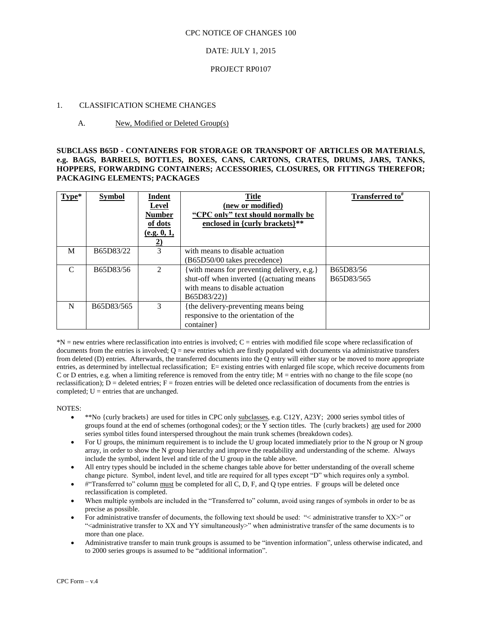#### DATE: JULY 1, 2015

#### PROJECT RP0107

#### 1. CLASSIFICATION SCHEME CHANGES

#### A. New, Modified or Deleted Group(s)

#### **SUBCLASS B65D - CONTAINERS FOR STORAGE OR TRANSPORT OF ARTICLES OR MATERIALS, e.g. BAGS, BARRELS, BOTTLES, BOXES, CANS, CARTONS, CRATES, DRUMS, JARS, TANKS, HOPPERS, FORWARDING CONTAINERS; ACCESSORIES, CLOSURES, OR FITTINGS THEREFOR; PACKAGING ELEMENTS; PACKAGES**

| $Type*$       | <b>Symbol</b> | Indent<br><b>Level</b><br><b>Number</b><br>of dots<br>(e.g. 0, 1,<br>2) | <b>Title</b><br>(new or modified)<br>"CPC only" text should normally be<br>enclosed in {curly brackets}**                                | Transferred to <sup>#</sup> |
|---------------|---------------|-------------------------------------------------------------------------|------------------------------------------------------------------------------------------------------------------------------------------|-----------------------------|
| M             | B65D83/22     | 3                                                                       | with means to disable actuation<br>(B65D50/00 takes precedence)                                                                          |                             |
| $\mathcal{C}$ | B65D83/56     | 2                                                                       | {with means for preventing delivery, e.g.}<br>shut-off when inverted { (actuating means<br>with means to disable actuation<br>B65D83/22) | B65D83/56<br>B65D83/565     |
| N             | B65D83/565    | 3                                                                       | the delivery-preventing means being<br>responsive to the orientation of the<br>container                                                 |                             |

\*N = new entries where reclassification into entries is involved; C = entries with modified file scope where reclassification of documents from the entries is involved;  $Q =$  new entries which are firstly populated with documents via administrative transfers from deleted (D) entries. Afterwards, the transferred documents into the Q entry will either stay or be moved to more appropriate entries, as determined by intellectual reclassification; E= existing entries with enlarged file scope, which receive documents from C or D entries, e.g. when a limiting reference is removed from the entry title; M = entries with no change to the file scope (no reclassification);  $\overline{D}$  = deleted entries; F = frozen entries will be deleted once reclassification of documents from the entries is completed;  $U =$  entries that are unchanged.

NOTES:

- \*\*No {curly brackets} are used for titles in CPC only subclasses, e.g. C12Y, A23Y; 2000 series symbol titles of groups found at the end of schemes (orthogonal codes); or the  $\overline{Y}$  section titles. The {curly brackets} are used for 2000 series symbol titles found interspersed throughout the main trunk schemes (breakdown codes).
- For U groups, the minimum requirement is to include the U group located immediately prior to the N group or N group array, in order to show the N group hierarchy and improve the readability and understanding of the scheme. Always include the symbol, indent level and title of the U group in the table above.
- All entry types should be included in the scheme changes table above for better understanding of the overall scheme change picture. Symbol, indent level, and title are required for all types except "D" which requires only a symbol.
- #"Transferred to" column must be completed for all C, D, F, and Q type entries. F groups will be deleted once reclassification is completed.
- When multiple symbols are included in the "Transferred to" column, avoid using ranges of symbols in order to be as precise as possible.
- For administrative transfer of documents, the following text should be used: "< administrative transfer to XX>" or "<administrative transfer to XX and YY simultaneously>" when administrative transfer of the same documents is to more than one place.
- Administrative transfer to main trunk groups is assumed to be "invention information", unless otherwise indicated, and to 2000 series groups is assumed to be "additional information".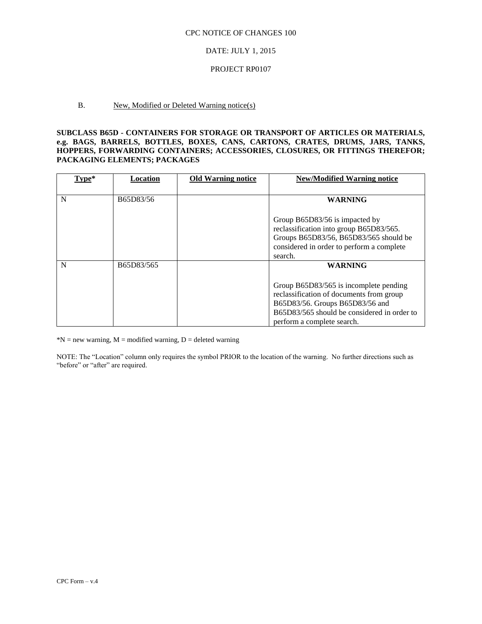#### DATE: JULY 1, 2015

#### PROJECT RP0107

#### B. New, Modified or Deleted Warning notice(s)

#### **SUBCLASS B65D - CONTAINERS FOR STORAGE OR TRANSPORT OF ARTICLES OR MATERIALS, e.g. BAGS, BARRELS, BOTTLES, BOXES, CANS, CARTONS, CRATES, DRUMS, JARS, TANKS, HOPPERS, FORWARDING CONTAINERS; ACCESSORIES, CLOSURES, OR FITTINGS THEREFOR; PACKAGING ELEMENTS; PACKAGES**

| Type* | <b>Location</b> | <b>Old Warning notice</b> | <b>New/Modified Warning notice</b>                                                                                                                                                                                   |
|-------|-----------------|---------------------------|----------------------------------------------------------------------------------------------------------------------------------------------------------------------------------------------------------------------|
| N     | B65D83/56       |                           | <b>WARNING</b><br>Group B65D83/56 is impacted by<br>reclassification into group B65D83/565.<br>Groups B65D83/56, B65D83/565 should be<br>considered in order to perform a complete<br>search.                        |
| N     | B65D83/565      |                           | <b>WARNING</b><br>Group B65D83/565 is incomplete pending<br>reclassification of documents from group<br>B65D83/56. Groups B65D83/56 and<br>B65D83/565 should be considered in order to<br>perform a complete search. |

 $N = new warning, M = modified warning, D = deleted warning$ 

NOTE: The "Location" column only requires the symbol PRIOR to the location of the warning. No further directions such as "before" or "after" are required.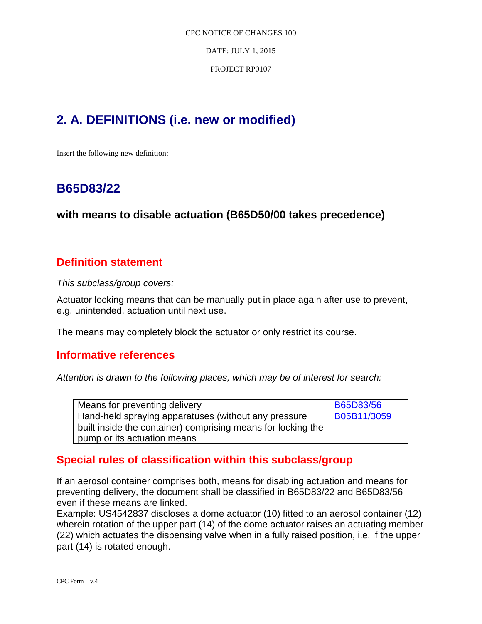DATE: JULY 1, 2015

PROJECT RP0107

# **2. A. DEFINITIONS (i.e. new or modified)**

Insert the following new definition:

# **B65D83/22**

### **with means to disable actuation (B65D50/00 takes precedence)**

### **Definition statement**

*This subclass/group covers:*

Actuator locking means that can be manually put in place again after use to prevent, e.g. unintended, actuation until next use.

The means may completely block the actuator or only restrict its course.

### **Informative references**

*Attention is drawn to the following places, which may be of interest for search:*

| Means for preventing delivery                                | <b>B65D83/56</b> |
|--------------------------------------------------------------|------------------|
| Hand-held spraying apparatuses (without any pressure         | B05B11/3059      |
| built inside the container) comprising means for locking the |                  |
| pump or its actuation means                                  |                  |

### **Special rules of classification within this subclass/group**

If an aerosol container comprises both, means for disabling actuation and means for preventing delivery, the document shall be classified in B65D83/22 and B65D83/56 even if these means are linked.

Example: US4542837 discloses a dome actuator (10) fitted to an aerosol container (12) wherein rotation of the upper part (14) of the dome actuator raises an actuating member (22) which actuates the dispensing valve when in a fully raised position, i.e. if the upper part (14) is rotated enough.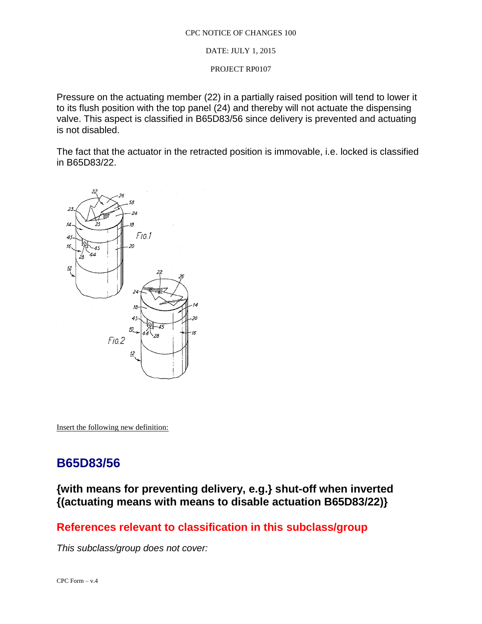DATE: JULY 1, 2015

PROJECT RP0107

Pressure on the actuating member (22) in a partially raised position will tend to lower it to its flush position with the top panel (24) and thereby will not actuate the dispensing valve. This aspect is classified in B65D83/56 since delivery is prevented and actuating is not disabled.

The fact that the actuator in the retracted position is immovable, i.e. locked is classified in B65D83/22.



Insert the following new definition:

# **B65D83/56**

**{with means for preventing delivery, e.g.} shut-off when inverted {(actuating means with means to disable actuation B65D83/22)}** 

### **References relevant to classification in this subclass/group**

*This subclass/group does not cover:*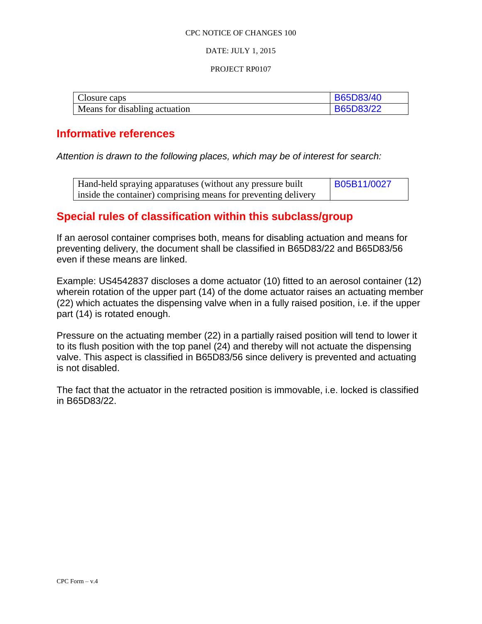#### DATE: JULY 1, 2015

#### PROJECT RP0107

| Closure caps                  | B65D83/40        |
|-------------------------------|------------------|
| Means for disabling actuation | <b>B65D83/22</b> |

### **Informative references**

*Attention is drawn to the following places, which may be of interest for search:*

| Hand-held spraying apparatuses (without any pressure built     | B05B11/0027 |
|----------------------------------------------------------------|-------------|
| inside the container) comprising means for preventing delivery |             |

### **Special rules of classification within this subclass/group**

If an aerosol container comprises both, means for disabling actuation and means for preventing delivery, the document shall be classified in B65D83/22 and B65D83/56 even if these means are linked.

Example: US4542837 discloses a dome actuator (10) fitted to an aerosol container (12) wherein rotation of the upper part (14) of the dome actuator raises an actuating member (22) which actuates the dispensing valve when in a fully raised position, i.e. if the upper part (14) is rotated enough.

Pressure on the actuating member (22) in a partially raised position will tend to lower it to its flush position with the top panel (24) and thereby will not actuate the dispensing valve. This aspect is classified in B65D83/56 since delivery is prevented and actuating is not disabled.

The fact that the actuator in the retracted position is immovable, i.e. locked is classified in B65D83/22.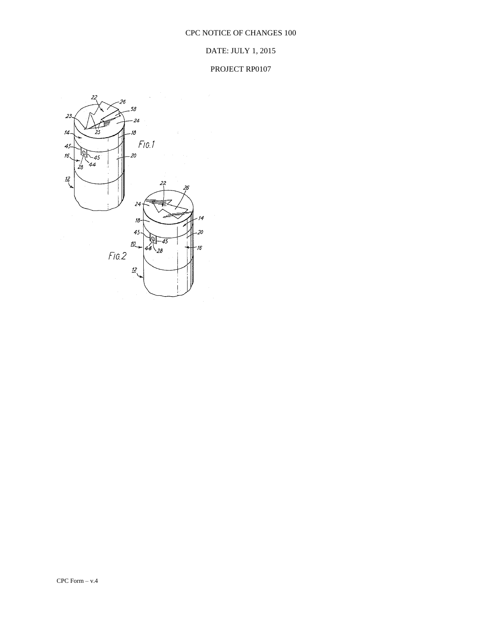### DATE: JULY 1, 2015

### PROJECT RP0107

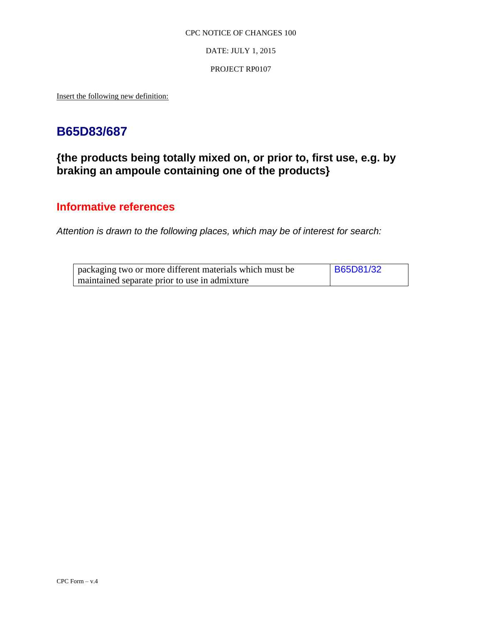DATE: JULY 1, 2015

#### PROJECT RP0107

Insert the following new definition:

# **B65D83/687**

## **{the products being totally mixed on, or prior to, first use, e.g. by braking an ampoule containing one of the products}**

### **Informative references**

*Attention is drawn to the following places, which may be of interest for search:*

| packaging two or more different materials which must be | <b>B65D81/32</b> |
|---------------------------------------------------------|------------------|
| maintained separate prior to use in admixture           |                  |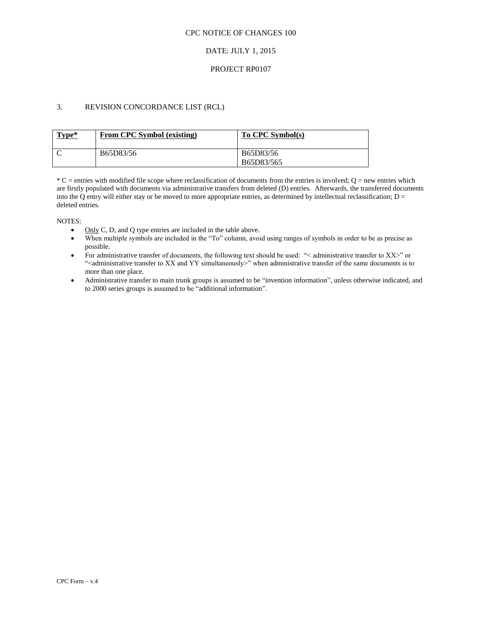#### DATE: JULY 1, 2015

#### PROJECT RP0107

#### 3. REVISION CONCORDANCE LIST (RCL)

| Type* | From CPC Symbol (existing) | To CPC Symbol(s)        |
|-------|----------------------------|-------------------------|
|       | B65D83/56                  | B65D83/56<br>B65D83/565 |

 $*C$  = entries with modified file scope where reclassification of documents from the entries is involved;  $Q$  = new entries which are firstly populated with documents via administrative transfers from deleted (D) entries. Afterwards, the transferred documents into the Q entry will either stay or be moved to more appropriate entries, as determined by intellectual reclassification;  $D =$ deleted entries.

NOTES:

- Only C, D, and Q type entries are included in the table above.
- When multiple symbols are included in the "To" column, avoid using ranges of symbols in order to be as precise as possible.
- For administrative transfer of documents, the following text should be used: "< administrative transfer to XX>" or "<administrative transfer to XX and YY simultaneously>" when administrative transfer of the same documents is to more than one place.
- Administrative transfer to main trunk groups is assumed to be "invention information", unless otherwise indicated, and to 2000 series groups is assumed to be "additional information".